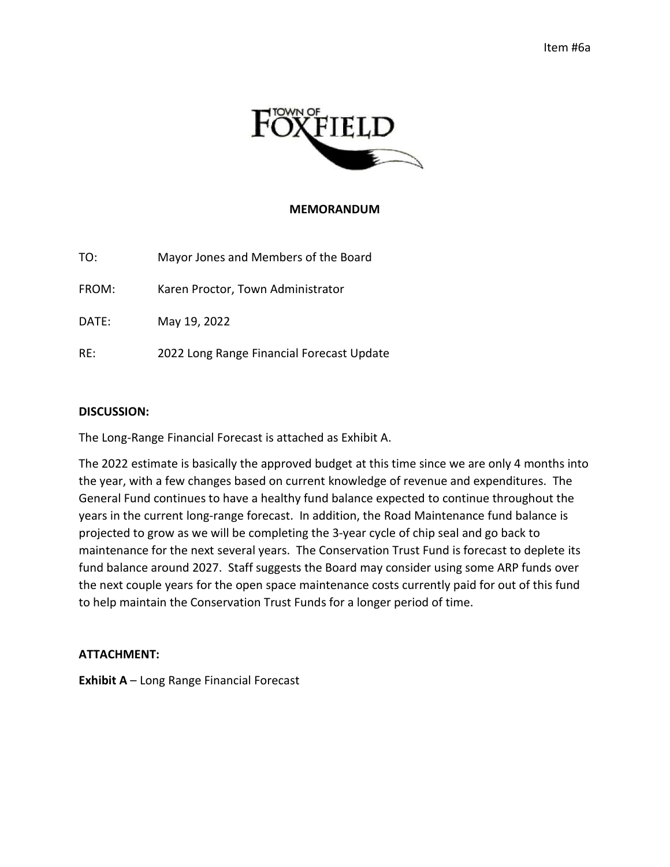

## **MEMORANDUM**

TO: Mayor Jones and Members of the Board

FROM: Karen Proctor, Town Administrator

DATE: May 19, 2022

RE: 2022 Long Range Financial Forecast Update

## **DISCUSSION:**

The Long-Range Financial Forecast is attached as Exhibit A.

The 2022 estimate is basically the approved budget at this time since we are only 4 months into the year, with a few changes based on current knowledge of revenue and expenditures. The General Fund continues to have a healthy fund balance expected to continue throughout the years in the current long-range forecast. In addition, the Road Maintenance fund balance is projected to grow as we will be completing the 3-year cycle of chip seal and go back to maintenance for the next several years. The Conservation Trust Fund is forecast to deplete its fund balance around 2027. Staff suggests the Board may consider using some ARP funds over the next couple years for the open space maintenance costs currently paid for out of this fund to help maintain the Conservation Trust Funds for a longer period of time.

## **ATTACHMENT:**

**Exhibit A** – Long Range Financial Forecast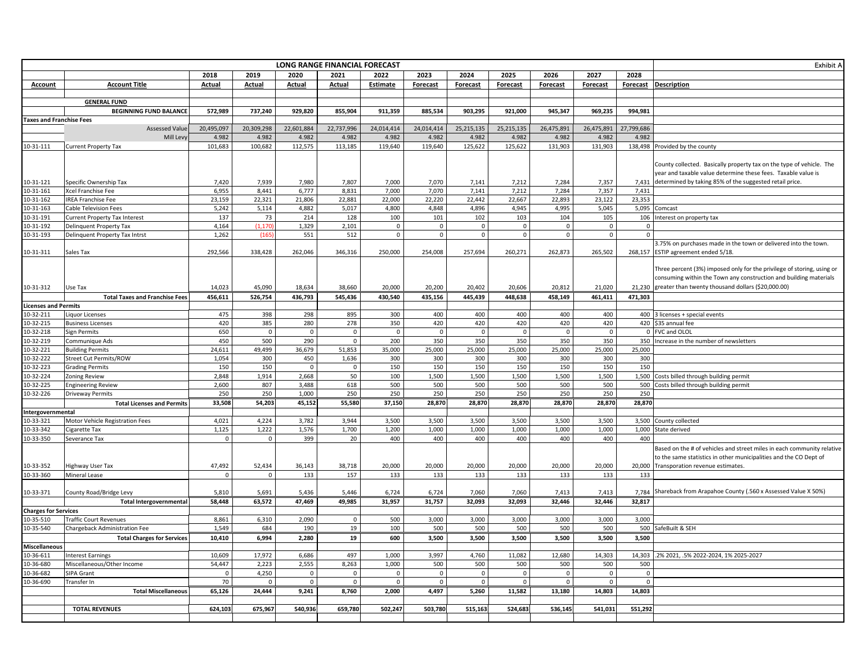|                                          |                                           |               | Exhibit A          |               |                            |                    |                    |                     |                         |                       |                    |                 |                                                                                                                         |
|------------------------------------------|-------------------------------------------|---------------|--------------------|---------------|----------------------------|--------------------|--------------------|---------------------|-------------------------|-----------------------|--------------------|-----------------|-------------------------------------------------------------------------------------------------------------------------|
|                                          |                                           | 2018          | 2019               | 2020          | 2021                       | 2022               | 2023               | 2024                | 2025                    | 2026                  | 2027               | 2028            |                                                                                                                         |
| <b>Account</b>                           | <b>Account Title</b>                      | <u>Actual</u> | <b>Actual</b>      | <b>Actual</b> | <b>Actual</b>              | <b>Estimate</b>    | <b>Forecast</b>    | <b>Forecast</b>     | <b>Forecast</b>         | <b>Forecast</b>       | <b>Forecast</b>    | <b>Forecast</b> | <b>Description</b>                                                                                                      |
|                                          |                                           |               |                    |               |                            |                    |                    |                     |                         |                       |                    |                 |                                                                                                                         |
|                                          | <b>GENERAL FUND</b>                       |               |                    |               |                            |                    |                    |                     |                         |                       |                    |                 |                                                                                                                         |
|                                          | <b>BEGINNING FUND BALANCE</b>             | 572,989       | 737,240            | 929,820       | 855,904                    | 911,359            | 885,534            | 903,295             | 921,000                 | 945,347               | 969,235            | 994,981         |                                                                                                                         |
| <b>Taxes and Franchise Fees</b>          |                                           |               |                    |               |                            |                    |                    |                     |                         |                       |                    |                 |                                                                                                                         |
|                                          | <b>Assessed Value</b>                     | 20,495,097    | 20,309,298         | 22,601,884    | 22,737,996                 | 24,014,414         | 24,014,414         | 25,215,135          | 25,215,135              | 26,475,891            | 26,475,891         | 27,799,686      |                                                                                                                         |
|                                          | Mill Levy                                 | 4.982         | 4.982              | 4.982         | 4.982                      | 4.982              | 4.982              | 4.982               | 4.982                   | 4.982                 | 4.982              | 4.982           |                                                                                                                         |
| 10-31-111                                | Current Property Tax                      | 101,683       | 100,682            | 112,575       | 113,185                    | 119,640            | 119,640            | 125,622             | 125,622                 | 131,903               | 131,903            |                 | 138,498 Provided by the county                                                                                          |
|                                          |                                           |               |                    |               |                            |                    |                    |                     |                         |                       |                    |                 |                                                                                                                         |
|                                          |                                           |               |                    |               |                            |                    |                    |                     |                         |                       |                    |                 | County collected. Basically property tax on the type of vehicle. The                                                    |
| 10-31-121                                | Specific Ownership Tax                    | 7,420         | 7,939              | 7,980         | 7,807                      | 7,000              | 7,070              | 7,141               | 7,212                   | 7,284                 | 7,357              | 7,431           | ear and taxable value determine these fees. Taxable value is<br>determined by taking 85% of the suggested retail price. |
| 10-31-161                                | Xcel Franchise Fee                        | 6,955         | 8,441              | 6,777         | 8,831                      | 7,000              | 7,070              | 7,141               | 7,212                   | 7,284                 | 7,357              | 7,431           |                                                                                                                         |
| 10-31-162                                | <b>IREA Franchise Fee</b>                 | 23,159        | 22,321             | 21,806        | 22,881                     | 22,000             | 22,220             | 22,442              | 22,667                  | 22,893                | 23,122             | 23,353          |                                                                                                                         |
| 10-31-163                                | <b>Cable Television Fees</b>              | 5,242         | 5,114              | 4,882         | 5,017                      | 4,800              | 4,848              | 4,896               | 4,945                   | 4,995                 | 5,045              | 5,095           | Comcast                                                                                                                 |
| 10-31-191                                | <b>Current Property Tax Interest</b>      | 137           | 73                 | 214           | 128                        | 100                | 101                | 102                 | 103                     | 104                   | 105                | 106             | Interest on property tax                                                                                                |
| 10-31-192                                | Delinquent Property Tax                   | 4,164         | (1.170)            | 1,329         | 2,101                      | $\mathbf 0$        | $\mathsf 0$        | $\mathbf 0$         | $\overline{0}$          | $\overline{0}$        | $\mathsf 0$        |                 |                                                                                                                         |
| 10-31-193                                | Delinquent Property Tax Intrst            | 1,262         | (165)              | 551           | 512                        | $\mathsf 0$        | $\mathsf 0$        | $\mathsf{O}\xspace$ | $\overline{\mathbf{0}}$ | $\mathbf 0$           | $\mathsf 0$        | $\mathbf 0$     |                                                                                                                         |
|                                          |                                           |               |                    |               |                            |                    |                    |                     |                         |                       |                    |                 | 3.75% on purchases made in the town or delivered into the town.                                                         |
| 10-31-311                                | Sales Tax                                 | 292,566       | 338,428            | 262,046       | 346,316                    | 250,000            | 254,008            | 257,694             | 260,271                 | 262,873               | 265,502            |                 | 268,157 ESTIP agreement ended 5/18.                                                                                     |
|                                          |                                           |               |                    |               |                            |                    |                    |                     |                         |                       |                    |                 |                                                                                                                         |
|                                          |                                           |               |                    |               |                            |                    |                    |                     |                         |                       |                    |                 | Three percent (3%) imposed only for the privilege of storing, using or                                                  |
|                                          |                                           |               |                    |               |                            |                    |                    |                     |                         |                       |                    |                 | consuming within the Town any construction and building materials                                                       |
| 10-31-312                                | Use Tax                                   | 14,023        | 45,090             | 18,634        | 38,660                     | 20,000             | 20,200             | 20,402              | 20,606                  | 20,812                | 21,020             |                 | 21,230 greater than twenty thousand dollars (\$20,000.00)                                                               |
|                                          | <b>Total Taxes and Franchise Fees</b>     | 456,611       | 526,754            | 436,793       | 545,436                    | 430,540            | 435,156            | 445,439             | 448,638                 | 458,149               | 461,411            | 471,303         |                                                                                                                         |
| <b>Licenses and Permits</b>              |                                           |               |                    |               |                            |                    |                    |                     |                         |                       |                    |                 |                                                                                                                         |
| 10-32-211                                | <b>Liquor Licenses</b>                    | 475           | 398                | 298           | 895                        | 300                | 400                | 400                 | 400                     | 400                   | 400                |                 | 400 3 licenses + special events                                                                                         |
| 10-32-215                                | <b>Business Licenses</b>                  | 420           | 385                | 280           | 278                        | 350                | 420                | 420                 | 420                     | 420                   | 420                | 420             | \$35 annual fee                                                                                                         |
| 10-32-218                                | <b>Sign Permits</b>                       | 650<br>450    | $\mathsf 0$<br>500 | 0<br>290      | $\mathbf 0$<br>$\mathbf 0$ | $\mathbf 0$<br>200 | $\mathbf 0$<br>350 | $\mathbf 0$<br>350  | O<br>350                | $\overline{0}$<br>350 | $\mathsf 0$<br>350 | 0               | VC and OLOL                                                                                                             |
| 10-32-219<br>10-32-221                   | Communique Ads<br><b>Building Permits</b> | 24,611        | 49,499             | 36,679        | 51,853                     | 35,000             | 25,000             | 25,000              | 25,000                  | 25,000                | 25,000             | 350<br>25,000   | ncrease in the number of newsletters                                                                                    |
| 10-32-222                                | <b>Street Cut Permits/ROW</b>             | 1,054         | 300                | 450           | 1,636                      | 300                | 300                | 300                 | 300                     | 300                   | 300                | 300             |                                                                                                                         |
| 10-32-223                                | <b>Grading Permits</b>                    | 150           | 150                | $\Omega$      | $\mathbf 0$                | 150                | 150                | 150                 | 150                     | 150                   | 150                | 150             |                                                                                                                         |
| 10-32-224                                | Zoning Review                             | 2,848         | 1,914              | 2,668         | 50                         | 100                | 1,500              | 1,500               | 1,500                   | 1,500                 | 1,500              | 1,500           | Costs billed through building permit                                                                                    |
| 10-32-225                                | <b>Engineering Review</b>                 | 2,600         | 807                | 3,488         | 618                        | 500                | 500                | 500                 | 500                     | 500                   | 500                | 500             | Costs billed through building permit                                                                                    |
| 10-32-226                                | <b>Driveway Permits</b>                   | 250           | 250                | 1,000         | 250                        | 250                | 250                | 250                 | 250                     | 250                   | 250                | 250             |                                                                                                                         |
|                                          | <b>Total Licenses and Permits</b>         | 33,508        | 54,203             | 45,152        | 55,580                     | 37,150             | 28,870             | 28,870              | 28,870                  | 28,870                | 28,870             | 28,870          |                                                                                                                         |
| Intergovernmental                        |                                           |               |                    |               |                            |                    |                    |                     |                         |                       |                    |                 |                                                                                                                         |
| 10-33-321                                | Motor Vehicle Registration Fees           | 4,021         | 4,224              | 3,782         | 3,944                      | 3,500              | 3,500              | 3,500               | 3,500                   | 3,500                 | 3,500              |                 | 3,500 County collected                                                                                                  |
| 10-33-342                                | Cigarette Tax                             | 1,125         | 1,222              | 1,576         | 1,700                      | 1,200              | 1,000              | 1,000               | 1,000                   | 1,000                 | 1,000              |                 | 1,000 State derived                                                                                                     |
| 10-33-350                                | Severance Tax                             | $\mathbf 0$   | $\mathsf 0$        | 399           | 20                         | 400                | 400                | 400                 | 400                     | 400                   | 400                | 400             |                                                                                                                         |
|                                          |                                           |               |                    |               |                            |                    |                    |                     |                         |                       |                    |                 | Based on the # of vehicles and street miles in each community relative                                                  |
|                                          |                                           |               |                    |               |                            |                    |                    |                     |                         |                       |                    |                 | to the same statistics in other municipalities and the CO Dept of                                                       |
| 10-33-352                                | Highway User Tax                          | 47,492        | 52,434             | 36,143        | 38,718                     | 20,000             | 20,000             | 20,000              | 20,000                  | 20,000                | 20,000             |                 | 20,000 Transporation revenue estimates.                                                                                 |
| 10-33-360                                | Mineral Lease                             | $\Omega$      | $\Omega$           | 133           | 157                        | 133                | 133                | 133                 | 133                     | 133                   | 133                | 133             |                                                                                                                         |
|                                          |                                           |               |                    |               |                            |                    |                    |                     |                         |                       |                    |                 |                                                                                                                         |
| 10-33-371                                | County Road/Bridge Levy                   | 5,810         | 5,691              | 5,436         | 5,446                      | 6,724              | 6,724              | 7,060               | 7,060                   | 7,413                 | 7,413              |                 | 7,784 Shareback from Arapahoe County (.560 x Assessed Value X 50%)                                                      |
|                                          | <b>Total Intergovernmental</b>            | 58,448        | 63,572             | 47,469        | 49,985                     | 31,957             | 31,757             | 32,093              | 32,093                  | 32,446                | 32,446             | 32,817          |                                                                                                                         |
| <b>Charges for Services</b><br>10-35-510 | <b>Traffic Court Revenues</b>             | 8,861         | 6,310              | 2,090         | $\mathbf 0$                | 500                | 3,000              | 3,000               | 3,000                   | 3,000                 | 3,000              | 3,000           |                                                                                                                         |
| 10-35-540                                | Chargeback Administration Fee             | 1,549         | 684                | 190           | 19                         | 100                | 500                | 500                 | 500                     | 500                   | 500                | 500             | SafeBuilt & SEH                                                                                                         |
|                                          | <b>Total Charges for Services</b>         | 10,410        | 6,994              | 2,280         | 19                         | 600                | 3,500              | 3,500               | 3,500                   | 3,500                 | 3,500              | 3,500           |                                                                                                                         |
| <b>Miscellaneous</b>                     |                                           |               |                    |               |                            |                    |                    |                     |                         |                       |                    |                 |                                                                                                                         |
| 10-36-611                                | <b>Interest Earnings</b>                  | 10,609        | 17,972             | 6,686         | 497                        | 1,000              | 3,997              | 4,760               | 11,082                  | 12,680                | 14,303             | 14,303          | 2% 2021, .5% 2022-2024, 1% 2025-2027                                                                                    |
| 10-36-680                                | Miscellaneous/Other Income                | 54,447        | 2,223              | 2,555         | 8,263                      | 1,000              | 500                | 500                 | 500                     | 500                   | 500                | 500             |                                                                                                                         |
| 10-36-682                                | SIPA Grant                                | $\mathbf 0$   | 4,250              | $\mathsf 0$   | $\mathbf 0$                | $\mathsf 0$        | $\mathbf 0$        | $\mathbf 0$         | $\overline{\mathbf{0}}$ | $\Omega$              | $\mathbf 0$        | $\mathbf 0$     |                                                                                                                         |
| 10-36-690                                | Transfer In                               | 70            | $\mathsf 0$        | $\mathsf 0$   | $\mathbf 0$                | $\mathsf 0$        | $\mathsf 0$        | $\mathbf 0$         | $\Omega$                | $\mathbf 0$           | $\mathbf 0$        | $\mathbf 0$     |                                                                                                                         |
|                                          | <b>Total Miscellaneous</b>                | 65,126        | 24,444             | 9,241         | 8,760                      | 2,000              | 4,497              | 5,260               | 11,582                  | 13,180                | 14,803             | 14,803          |                                                                                                                         |
|                                          |                                           |               |                    |               |                            |                    |                    |                     |                         |                       |                    |                 |                                                                                                                         |
|                                          | <b>TOTAL REVENUES</b>                     | 624,103       | 675,967            | 540,936       | 659,780                    | 502,247            | 503,780            | 515,163             | 524,683                 | 536,145               | 541,031            | 551,292         |                                                                                                                         |
|                                          |                                           |               |                    |               |                            |                    |                    |                     |                         |                       |                    |                 |                                                                                                                         |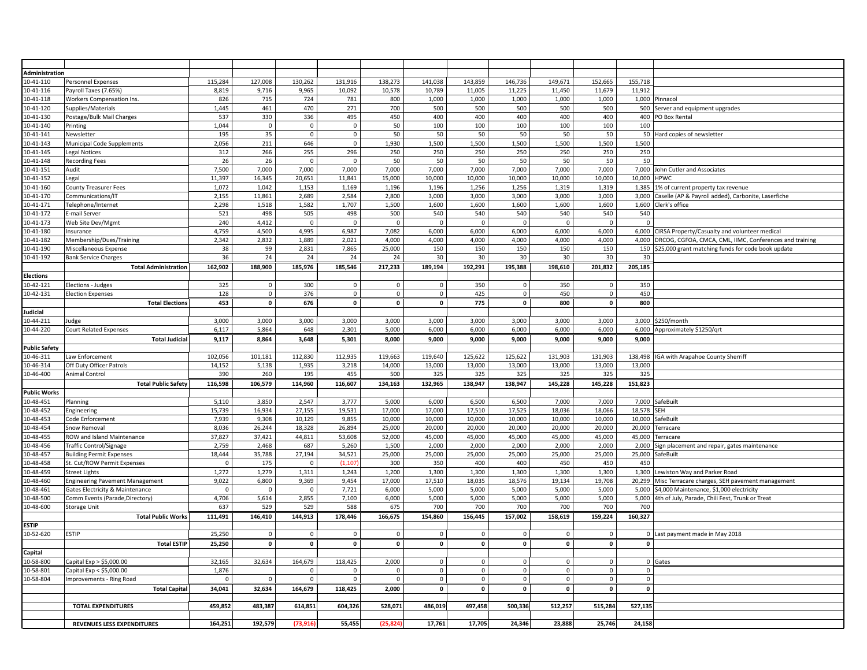| Administration                   |                                        |          |                |             |                     |             |                |             |                |                    |             |                     |                                                           |
|----------------------------------|----------------------------------------|----------|----------------|-------------|---------------------|-------------|----------------|-------------|----------------|--------------------|-------------|---------------------|-----------------------------------------------------------|
| 0-41-110                         | Personnel Expenses                     | 115,284  | 127,008        | 130,262     | 131,916             | 138,273     | 141,038        | 143,859     | 146,736        | 149,671            | 152,665     | 155,718             |                                                           |
| 10-41-116                        | Payroll Taxes (7.65%)                  | 8,819    | 9,716          | 9,965       | 10,092              | 10,578      | 10,789         | 11,005      | 11,225         | 11,450             | 11,679      | 11,912              |                                                           |
| 10-41-118                        | Workers Compensation Ins.              | 826      | 715            | 724         | 781                 | 800         | 1,000          | 1,000       | 1,000          | 1,000              | 1,000       | 1,000               | Pinnacol                                                  |
| 10-41-120                        | Supplies/Materials                     | 1.445    | 461            | 470         | 271                 | 700         | 500            | 500         | 500            | 500                | 500         | 500                 | Server and equipment upgrades                             |
| 10-41-130                        | Postage/Bulk Mail Charges              | 537      | 330            | 336         | 495                 | 450         | 400            | 400         | 400            | 400                | 400         | 400                 | PO Box Rental                                             |
| $0 - 41 - 140$                   | Printing                               | 1,044    | $\overline{0}$ | $\mathsf 0$ | $\mathsf{O}\xspace$ | 50          | 100            | 100         | 100            | 100                | 100         | 100                 |                                                           |
| 10-41-141                        | Newsletter                             | 195      | 35             | $\mathbf 0$ | $\mathbf 0$         | 50          | 50             | 50          | 50             | 50                 | 50          | 50                  | Hard copies of newsletter                                 |
| $0 - 41 - 143$                   | Municipal Code Supplements             | 2,056    | 211            | 646         | $\overline{0}$      | 1,930       | 1,500          | 1,500       | 1,500          | 1,500              | 1,500       | 1,500               |                                                           |
| $0 - 41 - 145$                   | <b>Legal Notices</b>                   | 312      | 266            | 255         | 296                 | 250         | 250            | 250         | 250            | 250                | 250         | 250                 |                                                           |
| $0 - 41 - 148$                   | Recording Fees                         | 26       | 26             | $\Omega$    | $\mathsf 0$         | 50          | 50             | 50          | 50             | 50                 | 50          | 50                  |                                                           |
| $0 - 41 - 151$                   | Audit                                  | 7,500    | 7,000          | 7,000       | 7,000               | 7,000       | 7,000          | 7,000       | 7,000          | 7,000              | 7,000       | 7,000               | John Cutler and Associates                                |
| 10-41-152                        | Legal                                  | 11,397   | 16,345         | 20,651      | 11,841              | 15,000      | 10,000         | 10,000      | 10,000         | 10,000             | 10,000      | 10,000              | <b>HPWC</b>                                               |
| $0 - 41 - 160$                   | <b>County Treasurer Fees</b>           | 1,072    | 1,042          | 1,153       | 1,169               | 1,196       | 1,196          | 1,256       | 1,256          | 1,319              | 1,319       | 1,385               | 1% of current property tax revenue                        |
| 0-41-170                         | Communications/IT                      | 2,155    | 11,861         | 2,689       | 2,584               | 2,800       | 3,000          | 3,000       | 3,000          | 3,000              | 3,000       |                     | 3,000 Caselle (AP & Payroll added), Carbonite, Laserfiche |
| $0 - 41 - 171$                   | Telephone/Internet                     | 2,298    | 1,518          | 1,582       | 1,707               | 1,500       | 1,600          | 1,600       | 1,600          | 1,600              | 1,600       | 1,600               | Clerk's office                                            |
| $0 - 41 - 172$                   | E-mail Server                          | 521      | 498            | 505         | 498                 | 500         | 540            | 540         | 540            | 540                | 540         | 540                 |                                                           |
| $0 - 41 - 173$                   | Web Site Dev/Mgmt                      | 240      | 4,412          | $\mathbf 0$ | $\mathbf 0$         | $\mathbf 0$ | $\overline{0}$ | 0           | $\overline{0}$ | $\mathbf 0$        | $\mathbf 0$ | $\mathbf 0$         |                                                           |
| $0 - 41 - 180$                   | Insurance                              | 4,759    | 4,500          | 4,995       | 6,987               | 7,082       | 6,000          | 6,000       | 6,000          | 6,000              | 6,000       | 6,000               | CIRSA Property/Casualty and volunteer medical             |
| $0 - 41 - 182$                   | Membership/Dues/Training               | 2,342    | 2,832          | 1,889       | 2,021               | 4,000       | 4,000          | 4,000       | 4,000          | 4,000              | 4,000       | 4,000               | DRCOG, CGFOA, CMCA, CML, IIMC, Conferences and training   |
| $0 - 41 - 190$                   | Miscellaneous Expense                  | 38       | 99             | 2,831       | 7,865               | 25,000      | 150            | 150         | 150            | 150                | 150         | 150                 | \$25,000 grant matching funds for code book update        |
| 0-41-192                         | <b>Bank Service Charges</b>            | 36       | 24             | 24          | 24                  | 24          | 30             | 30          | 30             | 30                 | 30          | 30                  |                                                           |
|                                  | <b>Total Administration</b>            | 162,902  | 188,900        | 185,976     | 185,546             | 217,233     | 189,194        | 192,291     | 195,388        | 198,610            | 201,832     | 205,185             |                                                           |
| <b>Elections</b>                 |                                        |          |                |             |                     |             |                |             |                |                    |             |                     |                                                           |
| $0 - 42 - 121$                   | Elections - Judges                     | 325      | $\mathbf 0$    | 300         | $\mathbf{0}$        | $\mathbf 0$ | $\mathbf 0$    | 350         | $\mathbf 0$    | 350                | $\mathbf 0$ | 350                 |                                                           |
| $0 - 42 - 131$                   | <b>Election Expenses</b>               | 128      | $\mathsf 0$    | 376         | $\mathbf{0}$        | $\mathsf 0$ | $\mathsf 0$    | 425         | $\mathbf 0$    | 450                | $\mathsf 0$ | 450                 |                                                           |
|                                  | <b>Total Elections</b>                 | 453      | $\mathbf 0$    | 676         | $\circ$             | $\circ$     | $\mathbf{0}$   | 775         | $\circ$        | 800                | $\mathbf 0$ | 800                 |                                                           |
| udicial                          |                                        |          |                |             |                     |             |                |             |                |                    |             |                     |                                                           |
|                                  |                                        | 3,000    | 3,000          | 3,000       | 3,000               | 3,000       | 3,000          | 3,000       | 3,000          | 3,000              | 3,000       |                     |                                                           |
| $0 - 44 - 211$<br>$0 - 44 - 220$ | Judge<br><b>Court Related Expenses</b> | 6.117    | 5.864          | 648         | 2,301               | 5,000       | 6,000          | 6,000       | 6,000          | 6.000              | 6,000       | 3,000<br>6,000      | \$250/month                                               |
|                                  |                                        |          |                |             |                     |             |                |             |                |                    |             |                     | Approximately \$1250/qrt                                  |
|                                  | <b>Total Judicial</b>                  | 9,117    | 8,864          | 3,648       | 5,301               | 8,000       | 9,000          | 9,000       | 9,000          | 9,000              | 9,000       | 9,000               |                                                           |
| <b>Public Safety</b>             |                                        |          |                |             |                     |             |                |             |                |                    |             |                     |                                                           |
| $0 - 46 - 311$                   | aw Enforcement                         | 102,056  | 101,181        | 112,830     | 112,935             | 119,663     | 119,640        | 125,622     | 125,622        | 131,903            | 131,903     | 138,498             | IGA with Arapahoe County Sherriff                         |
| 0-46-314                         | Off Duty Officer Patrols               | 14,152   | 5,138          | 1,935       | 3,218               | 14,000      | 13,000         | 13,000      | 13,000         | 13,000             | 13,000      | 13,000              |                                                           |
| $0 - 46 - 400$                   | Animal Control                         | 390      | 260            | 195         | 455                 | 500         | 325            | 325         | 325            | 325                | 325         | 325                 |                                                           |
|                                  | <b>Total Public Safety</b>             | 116,598  | 106,579        | 114,960     | 116,607             | 134,163     | 132,965        | 138,947     | 138,947        | 145,228            | 145,228     | 151,823             |                                                           |
| <b>Public Works</b>              |                                        |          |                |             |                     |             |                |             |                |                    |             |                     |                                                           |
| $0 - 48 - 451$                   | Planning                               | 5,110    | 3,850          | 2,547       | 3,777               | 5,000       | 6,000          | 6,500       | 6,500          | 7,000              | 7,000       | 7,000               | SafeBuilt                                                 |
| $0 - 48 - 452$                   | Engineering                            | 15,739   | 16,934         | 27,155      | 19,531              | 17,000      | 17,000         | 17,510      | 17,525         | 18,036             | 18,066      | 18,578              | <b>SEH</b>                                                |
| $0 - 48 - 453$                   | Code Enforcement                       | 7,939    | 9,308          | 10,129      | 9,855               | 10,000      | 10,000         | 10,000      | 10,000         | 10,000             | 10,000      | 10,000              | SafeBuilt                                                 |
| 0-48-454                         | Snow Removal                           | 8,036    | 26,244         | 18,328      | 26,894              | 25,000      | 20,000         | 20,000      | 20,000         | 20,000             | 20,000      | 20,000              | Terracare                                                 |
| $0 - 48 - 455$                   | ROW and Island Maintenance             | 37,827   | 37,421         | 44,811      | 53,608              | 52,000      | 45,000         | 45,000      | 45,000         | 45,000             | 45,000      | 45,000              | Terracare                                                 |
| $0 - 48 - 456$                   | <b>Traffic Control/Signage</b>         | 2,759    | 2,468          | 687         | 5,260               | 1,500       | 2,000          | 2,000       | 2,000          | 2,000              | 2,000       | 2,000               | Sign placement and repair, gates maintenance              |
| $0 - 48 - 457$                   | <b>Building Permit Expenses</b>        | 18,444   | 35,788         | 27,194      | 34,521              | 25,000      | 25,000         | 25,000      | 25,000         | 25,000             | 25,000      | 25,000              | SafeBuilt                                                 |
| 0-48-458                         | St. Cut/ROW Permit Expenses            | $\Omega$ | 175            | $\mathsf 0$ | (1, 107)            | 300         | 350            | 400         | 400            | 450                | 450         | 450                 |                                                           |
| $0 - 48 - 459$                   | <b>Street Lights</b>                   | 1,272    | 1,279          | 1,311       | 1,243               | 1,200       | 1,300          | 1,300       | 1,300          | 1,300              | 1,300       | 1,300               | Lewiston Way and Parker Road                              |
| $0 - 48 - 460$                   | <b>Engineering Pavement Management</b> | 9,022    | 6,800          | 9,369       | 9,454               | 17,000      | 17,510         | 18,035      | 18,576         | 19,134             | 19,708      | 20,299              | Misc Terracare charges, SEH pavement management           |
| $0 - 48 - 461$                   | Gates Electricity & Maintenance        | $\Omega$ | $\Omega$       | $\mathsf 0$ | 7,721               | 6,000       | 5,000          | 5,000       | 5,000          | 5,000              | 5,000       | 5,000               | \$4,000 Maintenance, \$1,000 electricity                  |
| $0 - 48 - 500$                   | Comm Events (Parade, Directory)        | 4,706    | 5,614          | 2,855       | 7,100               | 6,000       | 5,000          | 5,000       | 5,000          | 5,000              | 5,000       | 5,000               | 4th of July, Parade, Chili Fest, Trunk or Treat           |
| $0 - 48 - 600$                   | <b>Storage Unit</b>                    | 637      | 529            | 529         | 588                 | 675         | 700            | 700         | 700            | 700                | 700         | 700                 |                                                           |
|                                  | <b>Total Public Works</b>              | 111,491  | 146,410        | 144,913     | 178,446             | 166,675     | 154,860        | 156,445     | 157,002        | 158,619            | 159,224     | 160,327             |                                                           |
| <b>ESTIP</b>                     |                                        |          |                |             |                     |             |                |             |                |                    |             |                     |                                                           |
| 10-52-620                        | <b>ESTIP</b>                           | 25,250   | $\Omega$       | $\Omega$    | $\Omega$            | $\Omega$    | $\mathbf 0$    | $\Omega$    | $\Omega$       | $\Omega$           | $\Omega$    |                     | 0 Last payment made in May 2018                           |
|                                  | <b>Total ESTIP</b>                     | 25,250   | $\pmb{0}$      | $\pmb{0}$   | $\bullet$           | $\pmb{0}$   | $\mathbf 0$    | 0           | 0              | $\pmb{\mathsf{o}}$ | $\pmb{0}$   | $\mathbf 0$         |                                                           |
| Capital                          |                                        |          |                |             |                     |             |                |             |                |                    |             |                     |                                                           |
| $0 - 58 - 800$                   | Capital Exp > \$5,000.00               | 32,165   | 32,634         | 164,679     | 118,425             | 2,000       | $\mathbf 0$    | 0           | $\Omega$       | $\mathbf 0$        | $\mathbf 0$ |                     | 0 Gates                                                   |
| 0-58-801                         | Capital Exp < \$5,000.00               | 1,876    |                | $\mathsf 0$ | $\mathbf{0}$        | $\mathsf 0$ | $\mathbf 0$    | $\mathbf 0$ | $\Omega$       | $\mathsf 0$        | $\mathbf 0$ | $\mathsf{O}\xspace$ |                                                           |
| 0-58-804                         | Improvements - Ring Road               | $\Omega$ | $\mathbf{0}$   | $\mathbf 0$ | $\mathbf 0$         | $\mathbf 0$ | $\mathbf 0$    | $\mathbf 0$ | 0              | $\mathbf 0$        | $\mathbf 0$ | 0                   |                                                           |
|                                  | <b>Total Capital</b>                   | 34,041   | 32,634         | 164,679     | 118,425             | 2,000       | $\mathbf 0$    | $\mathbf 0$ | $\mathbf 0$    | $\pmb{0}$          | $\pmb{0}$   | $\mathbf 0$         |                                                           |
|                                  |                                        |          |                |             |                     |             |                |             |                |                    |             |                     |                                                           |
|                                  | <b>TOTAL EXPENDITURES</b>              | 459,852  | 483,387        | 614,851     | 604,326             | 528,073     | 486,019        | 497,458     | 500,336        | 512,257            | 515,284     | 527,135             |                                                           |
|                                  |                                        |          |                |             |                     |             |                |             |                |                    |             |                     |                                                           |
|                                  | <b>REVENUES LESS EXPENDITURES</b>      | 164,251  | 192,579        | (73, 916)   | 55,455              | (25, 824)   | 17,761         | 17,705      | 24,346         | 23,888             | 25,746      | 24,158              |                                                           |
|                                  |                                        |          |                |             |                     |             |                |             |                |                    |             |                     |                                                           |